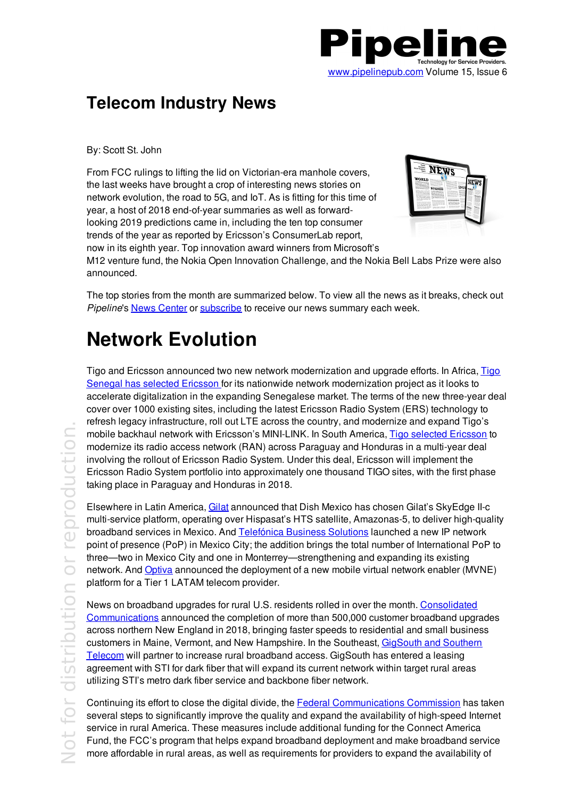

#### **Telecom Industry News**

By: Scott St. John

From FCC rulings to lifting the lid on Victorian-era manhole covers, the last weeks have brought a crop of interesting news stories on network evolution, the road to 5G, and IoT. As is fitting for this time of year, a host of 2018 end-of-year summaries as well as forwardlooking 2019 predictions came in, including the ten top consumer trends of the year as reported by Ericsson's ConsumerLab report, now in its eighth year. Top innovation award winners from Microsoft's



M12 venture fund, the Nokia Open Innovation Challenge, and the Nokia Bell Labs Prize were also announced.

The top stories from the month are summarized below. To view all the news as it breaks, check out *Pipeline*'s News Center or subscribe to receive our news summary each week.

### **Network Evolution**

Tigo and Ericsson announced two new network modernization and upgrade efforts. In Africa, Tigo Senegal has selected Ericsson for its nationwide network modernization project as it looks to accelerate digitalization in the expanding Senegalese market. The terms of the new three-year deal cover over 1000 existing sites, including the latest Ericsson Radio System (ERS) technology to refresh legacy infrastructure, roll out LTE across the country, and modernize and expand Tigo's mobile backhaul network with Ericsson's MINI-LINK. In South America, Tigo selected Ericsson to modernize its radio access network (RAN) across Paraguay and Honduras in a multi-year deal involving the rollout of Ericsson Radio System. Under this deal, Ericsson will implement the Ericsson Radio System portfolio into approximately one thousand TIGO sites, with the first phase taking place in Paraguay and Honduras in 2018.

Elsewhere in Latin America, <u>Gilat</u> announced that Dish Mexico has chosen Gilat's SkyEdge II-c multi-service platform, operating over Hispasat's HTS satellite, Amazonas-5, to deliver high-quality broadband services in Mexico. And <u>Telefónica Business Solutions</u> launched a new IP network point of presence (PoP) in Mexico City; the addition brings the total number of International PoP to three—two in Mexico City and one in Monterrey—strengthening and expanding its existing network. And **Optiva** announced the deployment of a new mobile virtual network enabler (MVNE) platform for a Tier 1 LATAM telecom provider.

News on broadband upgrades for rural U.S. residents rolled in over the month. Consolidated Communications announced the completion of more than 500,000 customer broadband upgrades across northern New England in 2018, bringing faster speeds to residential and small business customers in Maine, Vermont, and New Hampshire. In the Southeast, GigSouth and Southern Telecom will partner to increase rural broadband access. GigSouth has entered a leasing agreement with STI for dark fiber that will expand its current network within target rural areas utilizing STI's metro dark fiber service and backbone fiber network.

Continuing its effort to close the digital divide, the Federal Communications Commission has taken several steps to significantly improve the quality and expand the availability of high-speed Internet service in rural America. These measures include additional funding for the Connect America Fund, the FCC's program that helps expand broadband deployment and make broadband service more affordable in rural areas, as well as requirements for providers to expand the availability of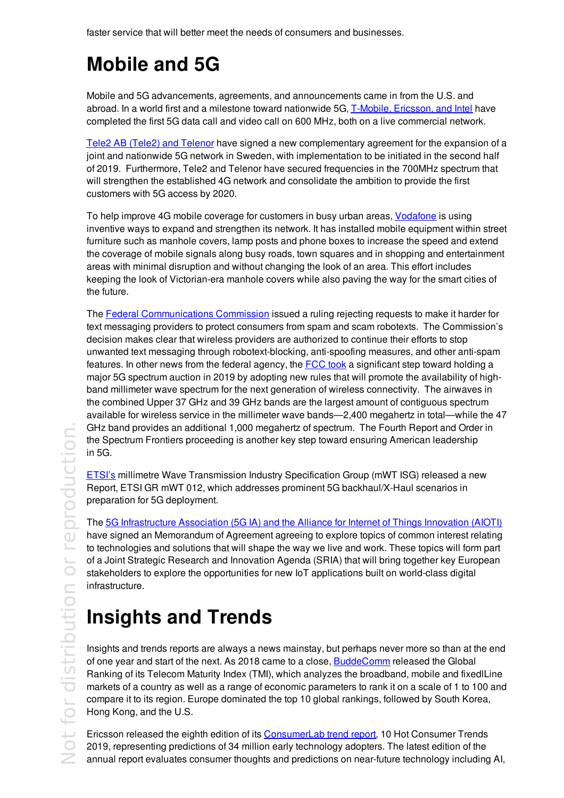faster service that will better meet the needs of consumers and businesses.

# **Mobile and 5G**

Mobile and 5G advancements, agreements, and announcements came in from the U.S. and abroad. In a world first and a milestone toward nationwide 5G, T-Mobile, Ericsson, and Intel have completed the first 5G data call and video call on 600 MHz, both on a live commercial network.

Tele2 AB (Tele2) and Telenor have signed a new complementary agreement for the expansion of a joint and nationwide 5G network in Sweden, with implementation to be initiated in the second half of 2019. Furthermore, Tele2 and Telenor have secured frequencies in the 700MHz spectrum that will strengthen the established 4G network and consolidate the ambition to provide the first customers with 5G access by 2020.

To help improve 4G mobile coverage for customers in busy urban areas, *Vodafone* is using inventive ways to expand and strengthen its network. It has installed mobile equipment within street furniture such as manhole covers, lamp posts and phone boxes to increase the speed and extend the coverage of mobile signals along busy roads, town squares and in shopping and entertainment areas with minimal disruption and without changing the look of an area. This effort includes keeping the look of Victorian-era manhole covers while also paving the way for the smart cities of the future.

The **Federal Communications Commission** issued a ruling rejecting requests to make it harder for text messaging providers to protect consumers from spam and scam robotexts. The Commission's decision makes clear that wireless providers are authorized to continue their efforts to stop unwanted text messaging through robotext-blocking, anti-spoofing measures, and other anti-spam features. In other news from the federal agency, the FCC took a significant step toward holding a major 5G spectrum auction in 2019 by adopting new rules that will promote the availability of highband millimeter wave spectrum for the next generation of wireless connectivity. The airwaves in the combined Upper 37 GHz and 39 GHz bands are the largest amount of contiguous spectrum available for wireless service in the millimeter wave bands—2,400 megahertz in total—while the 47 GHz band provides an additional 1,000 megahertz of spectrum. The Fourth Report and Order in the Spectrum Frontiers proceeding is another key step toward ensuring American leadership in 5G.

**ETSI's millimetre Wave Transmission Industry Specification Group (mWT ISG) released a new** Report, ETSI GR mWT 012, which addresses prominent 5G backhaul/X-Haul scenarios in preparation for 5G deployment.

The 5G Infrastructure Association (5G IA) and the Alliance for Internet of Things Innovation (AIOTI) have signed an Memorandum of Agreement agreeing to explore topics of common interest relating to technologies and solutions that will shape the way we live and work. These topics will form part of a Joint Strategic Research and Innovation Agenda (SRIA) that will bring together key European stakeholders to explore the opportunities for new IoT applications built on world-class digital infrastructure.

## **Insights and Trends**

Insights and trends reports are always a news mainstay, but perhaps never more so than at the end of one year and start of the next. As 2018 came to a close, <u>BuddeComm</u> released the Global Ranking of its Telecom Maturity Index (TMI), which analyzes the broadband, mobile and fixedlLine markets of a country as well as a range of economic parameters to rank it on a scale of 1 to 100 and compare it to its region. Europe dominated the top 10 global rankings, followed by South Korea, Hong Kong, and the U.S.

Ericsson released the eighth edition of its ConsumerLab trend report, 10 Hot Consumer Trends 2019, representing predictions of 34 million early technology adopters. The latest edition of the annual report evaluates consumer thoughts and predictions on near-future technology including AI,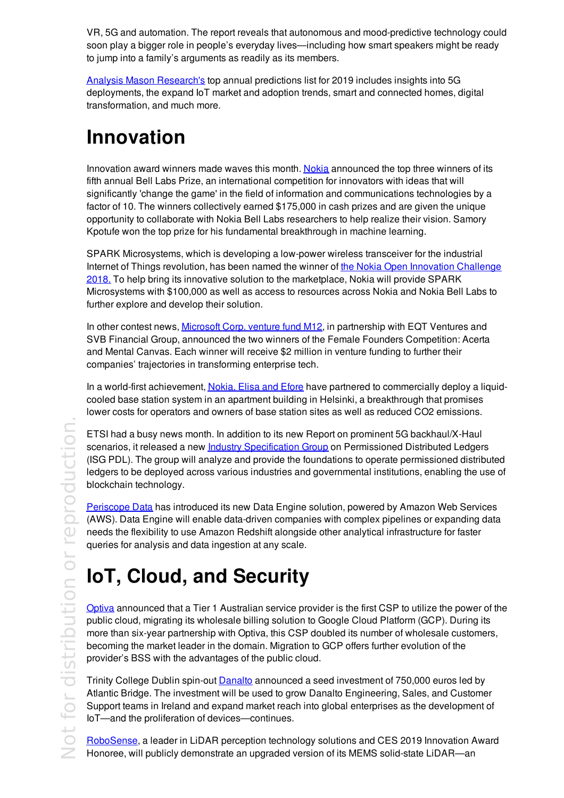VR, 5G and automation. The report reveals that autonomous and mood-predictive technology could soon play a bigger role in people's everyday lives—including how smart speakers might be ready to jump into a family's arguments as readily as its members.

Analysis Mason Research's top annual predictions list for 2019 includes insights into 5G deployments, the expand IoT market and adoption trends, smart and connected homes, digital transformation, and much more.

### **Innovation**

Innovation award winners made waves this month. Nokia announced the top three winners of its fifth annual Bell Labs Prize, an international competition for innovators with ideas that will significantly 'change the game' in the field of information and communications technologies by a factor of 10. The winners collectively earned \$175,000 in cash prizes and are given the unique opportunity to collaborate with Nokia Bell Labs researchers to help realize their vision. Samory Kpotufe won the top prize for his fundamental breakthrough in machine learning.

SPARK Microsystems, which is developing a low-power wireless transceiver for the industrial Internet of Things revolution, has been named the winner of the Nokia Open Innovation Challenge 2018. To help bring its innovative solution to the marketplace, Nokia will provide SPARK Microsystems with \$100,000 as well as access to resources across Nokia and Nokia Bell Labs to further explore and develop their solution.

In other contest news, Microsoft Corp. venture fund M12, in partnership with EQT Ventures and SVB Financial Group, announced the two winners of the Female Founders Competition: Acerta and Mental Canvas. Each winner will receive \$2 million in venture funding to further their companies' trajectories in transforming enterprise tech.

In a world-first achievement, Nokia, Elisa and Efore have partnered to commercially deploy a liquidcooled base station system in an apartment building in Helsinki, a breakthrough that promises lower costs for operators and owners of base station sites as well as reduced CO2 emissions.

ETSI had a busy news month. In addition to its new Report on prominent 5G backhaul/X-Haul scenarios, it released a new *Industry Specification Group* on Permissioned Distributed Ledgers (ISG PDL). The group will analyze and provide the foundations to operate permissioned distributed ledgers to be deployed across various industries and governmental institutions, enabling the use of blockchain technology.

Periscope Data has introduced its new Data Engine solution, powered by Amazon Web Services (AWS). Data Engine will enable data-driven companies with complex pipelines or expanding data needs the flexibility to use Amazon Redshift alongside other analytical infrastructure for faster queries for analysis and data ingestion at any scale.

# **IoT, Cloud, and Security**

Optiva announced that a Tier 1 Australian service provider is the first CSP to utilize the power of the public cloud, migrating its wholesale billing solution to Google Cloud Platform (GCP). During its more than six-year partnership with Optiva, this CSP doubled its number of wholesale customers, becoming the market leader in the domain. Migration to GCP offers further evolution of the provider's BSS with the advantages of the public cloud.

Trinity College Dublin spin-out Danalto announced a seed investment of 750,000 euros led by Atlantic Bridge. The investment will be used to grow Danalto Engineering, Sales, and Customer Support teams in Ireland and expand market reach into global enterprises as the development of IoT—and the proliferation of devices—continues.

RoboSense, a leader in LiDAR perception technology solutions and CES 2019 Innovation Award Honoree, will publicly demonstrate an upgraded version of its MEMS solid-state LiDAR—an